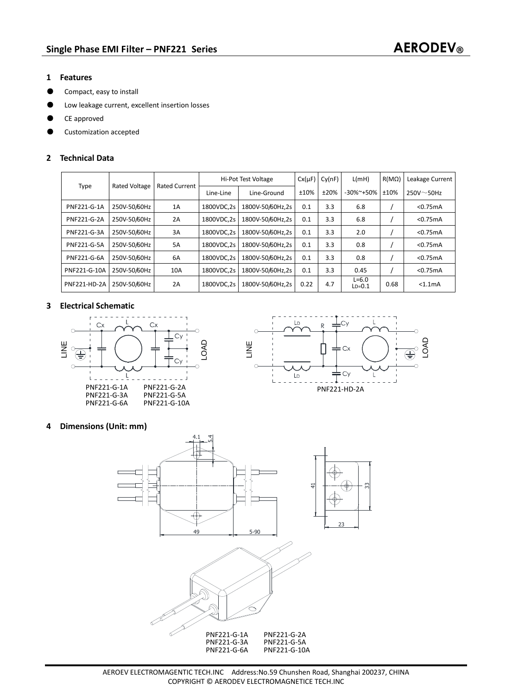- **1 Features**
- ƽ Compact, easy to install
- ƽ Low leakage current, excellent insertion losses
- ƽ CE approved
- ƽ Customization accepted

## **2 Technical Data**

| Type                | <b>Rated Voltage</b> | <b>Rated Current</b> | Hi-Pot Test Voltage |                  | $Cx(\mu F)$ | Cy(nF) | L(mH)                 | $R(M\Omega)$ | Leakage Current  |
|---------------------|----------------------|----------------------|---------------------|------------------|-------------|--------|-----------------------|--------------|------------------|
|                     |                      |                      | Line-Line           | Line-Ground      | ±10%        | ±20%   | $-30\%$ $+50\%$       | ±10%         | $250V \sim 50Hz$ |
| <b>PNF221-G-1A</b>  | 250V-50/60Hz         | 1A                   | 1800VDC.2s          | 1800V-50/60Hz.2s | 0.1         | 3.3    | 6.8                   |              | $<$ 0.75 $mA$    |
| <b>PNF221-G-2A</b>  | 250V-50/60Hz         | 2A                   | 1800VDC.2s          | 1800V-50/60Hz.2s | 0.1         | 3.3    | 6.8                   |              | < 0.75mA         |
| PNF221-G-3A         | 250V-50/60Hz         | 3A                   | 1800VDC.2s          | 1800V-50/60Hz.2s | 0.1         | 3.3    | 2.0                   |              | < 0.75mA         |
| <b>PNF221-G-5A</b>  | 250V-50/60Hz         | <b>5A</b>            | 1800VDC.2s          | 1800V-50/60Hz.2s | 0.1         | 3.3    | 0.8                   |              | < 0.75mA         |
| PNF221-G-6A         | 250V-50/60Hz         | 6A                   | 1800VDC.2s          | 1800V-50/60Hz.2s | 0.1         | 3.3    | 0.8                   |              | < 0.75mA         |
| PNF221-G-10A        | 250V-50/60Hz         | 10A                  | 1800VDC.2s          | 1800V-50/60Hz.2s | 0.1         | 3.3    | 0.45                  |              | < 0.75mA         |
| <b>PNF221-HD-2A</b> | 250V-50/60Hz         | 2A                   | 1800VDC.2s          | 1800V-50/60Hz.2s | 0.22        | 4.7    | $L = 6.0$<br>$LD=0.1$ | 0.68         | $< 1.1m$ A       |

### **3 Electrical Schematic**





## **4 Dimensions (Unit: mm)**

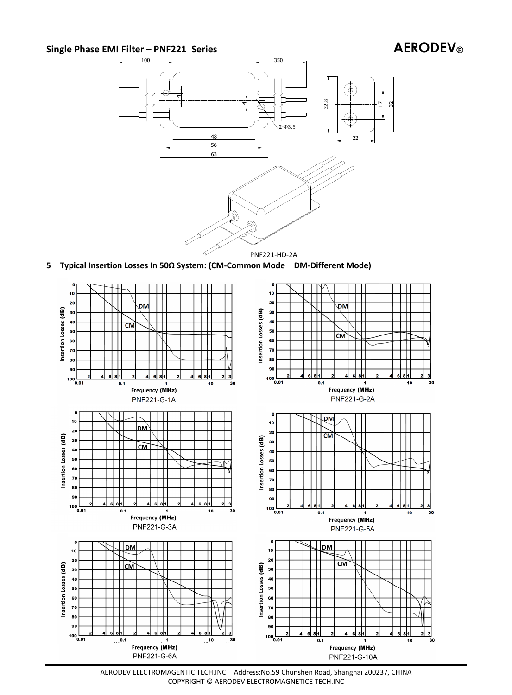# **Single Phase EMI Filter – PNF221 Series AERODEV®**



**5 Typical Insertion Losses In 50Ω System: (CM-Common Mode DM-Different Mode)** 



AERODEV ELECTROMAGENTIC TECH.INC Address:No.59 Chunshen Road, Shanghai 200237, CHINA COPYRIGHT © AERODEV ELECTROMAGNETICE TECH.INC